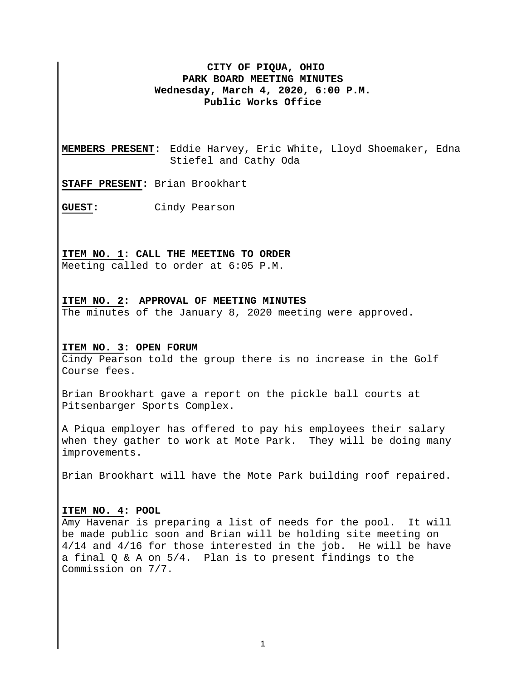# **CITY OF PIQUA, OHIO PARK BOARD MEETING MINUTES Wednesday, March 4, 2020, 6:00 P.M. Public Works Office**

**MEMBERS PRESENT:** Eddie Harvey, Eric White, Lloyd Shoemaker, Edna Stiefel and Cathy Oda

**STAFF PRESENT:** Brian Brookhart

**GUEST:** Cindy Pearson

#### **ITEM NO. 1: CALL THE MEETING TO ORDER**

Meeting called to order at 6:05 P.M.

#### **ITEM NO. 2: APPROVAL OF MEETING MINUTES**

The minutes of the January 8, 2020 meeting were approved.

#### **ITEM NO. 3: OPEN FORUM**

Cindy Pearson told the group there is no increase in the Golf Course fees.

Brian Brookhart gave a report on the pickle ball courts at Pitsenbarger Sports Complex.

A Piqua employer has offered to pay his employees their salary when they gather to work at Mote Park. They will be doing many improvements.

Brian Brookhart will have the Mote Park building roof repaired.

### **ITEM NO. 4: POOL**

Amy Havenar is preparing a list of needs for the pool. It will be made public soon and Brian will be holding site meeting on 4/14 and 4/16 for those interested in the job. He will be have a final Q & A on 5/4. Plan is to present findings to the Commission on 7/7.